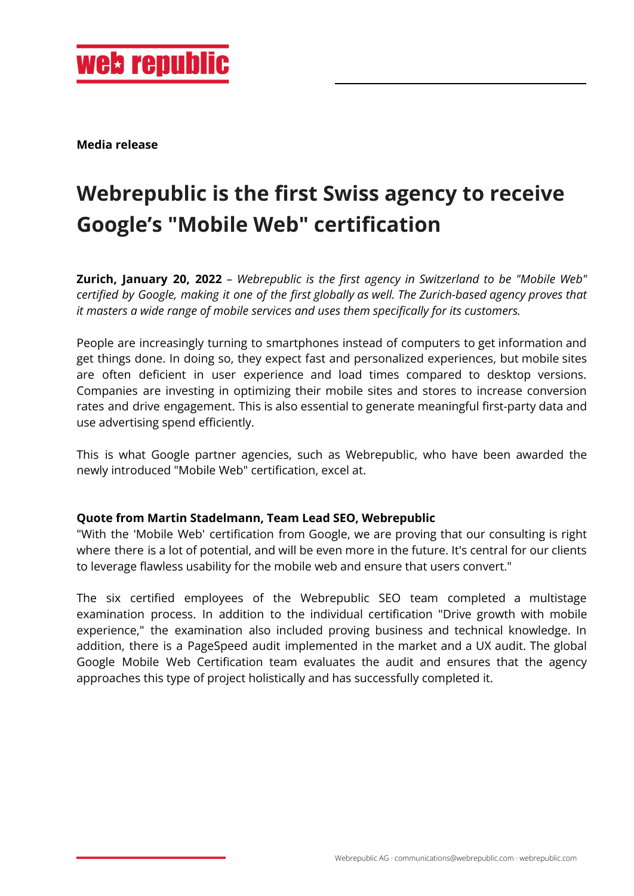**Media release**

## **Webrepublic is the first Swiss agency to receive Google's "Mobile Web" certification**

**Zurich, January 20, 2022** – *Webrepublic is the first agency in Switzerland to be "Mobile Web" certified by Google, making it one of the first globally as well. The Zurich-based agency proves that it masters a wide range of mobile services and uses them specifically for its customers.*

People are increasingly turning to smartphones instead of computers to get information and get things done. In doing so, they expect fast and personalized experiences, but mobile sites are often deficient in user experience and load times compared to desktop versions. Companies are investing in optimizing their mobile sites and stores to increase conversion rates and drive engagement. This is also essential to generate meaningful first-party data and use advertising spend efficiently.

This is what Google partner agencies, such as Webrepublic, who have been awarded the newly introduced "Mobile Web" certification, excel at.

## **Quote from Martin Stadelmann, Team Lead SEO, Webrepublic**

"With the 'Mobile Web' certification from Google, we are proving that our consulting is right where there is a lot of potential, and will be even more in the future. It's central for our clients to leverage flawless usability for the mobile web and ensure that users convert."

The six certified employees of the Webrepublic SEO team completed a multistage examination process. In addition to the individual certification "Drive growth with mobile experience," the examination also included proving business and technical knowledge. In addition, there is a PageSpeed audit implemented in the market and a UX audit. The global Google Mobile Web Certification team evaluates the audit and ensures that the agency approaches this type of project holistically and has successfully completed it.